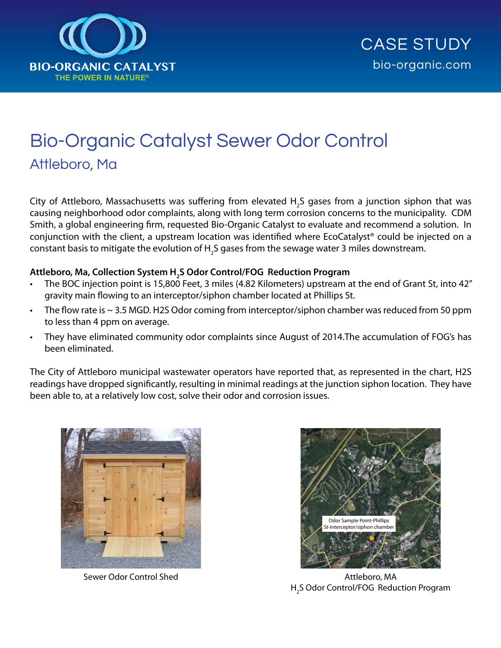

## Bio-Organic Catalyst Sewer Odor Control Attleboro, Ma

City of Attleboro, Massachusetts was suffering from elevated  $\mathsf{H}_2$ S gases from a junction siphon that was causing neighborhood odor complaints, along with long term corrosion concerns to the municipality. CDM Smith, a global engineering firm, requested Bio-Organic Catalyst to evaluate and recommend a solution. In conjunction with the client, a upstream location was identified where EcoCatalyst® could be injected on a constant basis to mitigate the evolution of H<sub>2</sub>S gases from the sewage water 3 miles downstream.

## **Attleboro, Ma, Collection System H2 S Odor Control/FOG Reduction Program**

- The BOC injection point is 15,800 Feet, 3 miles (4.82 Kilometers) upstream at the end of Grant St, into 42" gravity main flowing to an interceptor/siphon chamber located at Phillips St.
- The flow rate is  $\sim$  3.5 MGD. H2S Odor coming from interceptor/siphon chamber was reduced from 50 ppm to less than 4 ppm on average.
- They have eliminated community odor complaints since August of 2014.The accumulation of FOG's has been eliminated.

The City of Attleboro municipal wastewater operators have reported that, as represented in the chart, H2S readings have dropped significantly, resulting in minimal readings at the junction siphon location. They have been able to, at a relatively low cost, solve their odor and corrosion issues.





Sewer Odor Control Shed Attleboro, MA H<sub>2</sub>S Odor Control/FOG Reduction Program